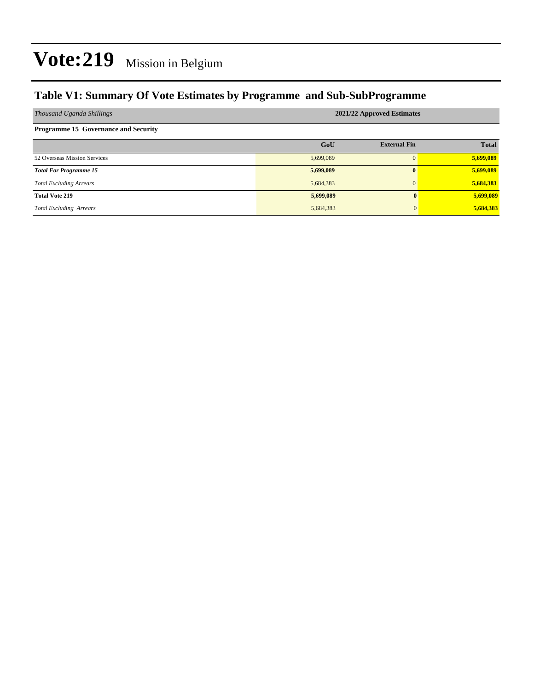## **Table V1: Summary Of Vote Estimates by Programme and Sub-SubProgramme**

| Thousand Uganda Shillings                   | 2021/22 Approved Estimates |                     |              |  |  |  |
|---------------------------------------------|----------------------------|---------------------|--------------|--|--|--|
| <b>Programme 15 Governance and Security</b> |                            |                     |              |  |  |  |
|                                             | GoU                        | <b>External Fin</b> | <b>Total</b> |  |  |  |
| 52 Overseas Mission Services                | 5,699,089                  | $\Omega$            | 5,699,089    |  |  |  |
| <b>Total For Programme 15</b>               | 5,699,089                  | $\mathbf{0}$        | 5,699,089    |  |  |  |
| <b>Total Excluding Arrears</b>              | 5,684,383                  | $\mathbf{0}$        | 5,684,383    |  |  |  |
| <b>Total Vote 219</b>                       | 5,699,089                  | $\mathbf{0}$        | 5,699,089    |  |  |  |
| <b>Total Excluding Arrears</b>              | 5,684,383                  | 0                   | 5,684,383    |  |  |  |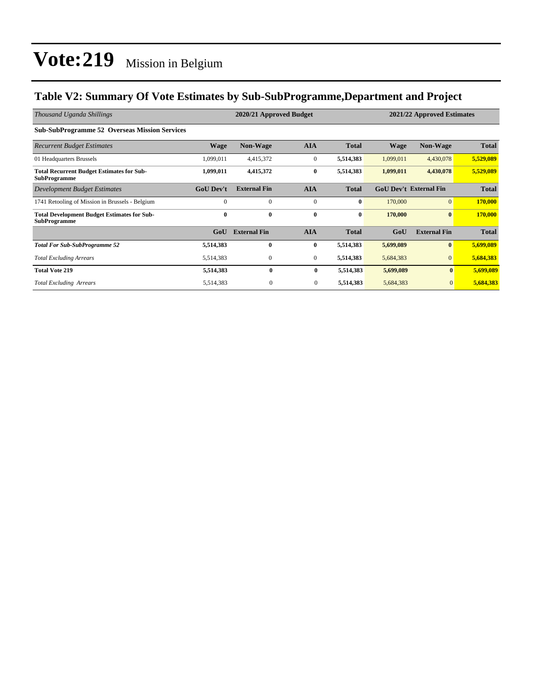## **Table V2: Summary Of Vote Estimates by Sub-SubProgramme,Department and Project**

| Thousand Uganda Shillings                                                 | 2020/21 Approved Budget<br>2021/22 Approved Estimates |                     |                |              |           |                               |              |
|---------------------------------------------------------------------------|-------------------------------------------------------|---------------------|----------------|--------------|-----------|-------------------------------|--------------|
| <b>Sub-SubProgramme 52 Overseas Mission Services</b>                      |                                                       |                     |                |              |           |                               |              |
| <b>Recurrent Budget Estimates</b>                                         | <b>Wage</b>                                           | <b>Non-Wage</b>     | <b>AIA</b>     | <b>Total</b> | Wage      | Non-Wage                      | <b>Total</b> |
| 01 Headquarters Brussels                                                  | 1,099,011                                             | 4,415,372           | $\mathbf{0}$   | 5,514,383    | 1,099,011 | 4,430,078                     | 5,529,089    |
| <b>Total Recurrent Budget Estimates for Sub-</b><br><b>SubProgramme</b>   | 1,099,011                                             | 4,415,372           | $\bf{0}$       | 5,514,383    | 1,099,011 | 4,430,078                     | 5,529,089    |
| Development Budget Estimates                                              | <b>GoU Dev't</b>                                      | <b>External Fin</b> | <b>AIA</b>     | <b>Total</b> |           | <b>GoU Dev't External Fin</b> | <b>Total</b> |
| 1741 Retooling of Mission in Brussels - Belgium                           | $\Omega$                                              | $\Omega$            | $\mathbf{0}$   | $\bf{0}$     | 170,000   | $\mathbf{0}$                  | 170,000      |
| <b>Total Development Budget Estimates for Sub-</b><br><b>SubProgramme</b> | $\bf{0}$                                              | $\mathbf{0}$        | 0              | $\bf{0}$     | 170,000   | $\mathbf{0}$                  | 170,000      |
|                                                                           | GoU                                                   | <b>External Fin</b> | <b>AIA</b>     | <b>Total</b> | GoU       | <b>External Fin</b>           | <b>Total</b> |
| <b>Total For Sub-SubProgramme 52</b>                                      | 5,514,383                                             | $\mathbf{0}$        | 0              | 5,514,383    | 5,699,089 | $\mathbf{0}$                  | 5,699,089    |
| <b>Total Excluding Arrears</b>                                            | 5,514,383                                             | $\mathbf{0}$        | $\overline{0}$ | 5,514,383    | 5,684,383 | $\mathbf{0}$                  | 5,684,383    |
| <b>Total Vote 219</b>                                                     | 5,514,383                                             | $\mathbf{0}$        | $\bf{0}$       | 5,514,383    | 5,699,089 | $\mathbf{0}$                  | 5,699,089    |
| <b>Total Excluding Arrears</b>                                            | 5,514,383                                             | $\mathbf{0}$        | $\mathbf{0}$   | 5,514,383    | 5,684,383 | $\mathbf{0}$                  | 5,684,383    |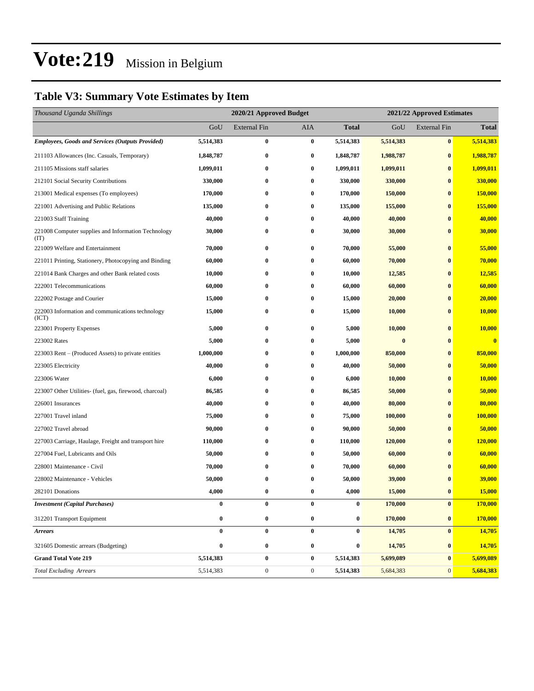## **Table V3: Summary Vote Estimates by Item**

| Thousand Uganda Shillings                                   | 2020/21 Approved Budget |                  |                  |                  | 2021/22 Approved Estimates |                     |              |  |
|-------------------------------------------------------------|-------------------------|------------------|------------------|------------------|----------------------------|---------------------|--------------|--|
|                                                             | GoU                     | External Fin     | AIA              | <b>Total</b>     | GoU                        | <b>External Fin</b> | <b>Total</b> |  |
| <b>Employees, Goods and Services (Outputs Provided)</b>     | 5,514,383               | $\bf{0}$         | $\bf{0}$         | 5,514,383        | 5,514,383                  | $\bf{0}$            | 5,514,383    |  |
| 211103 Allowances (Inc. Casuals, Temporary)                 | 1,848,787               | $\bf{0}$         | $\bf{0}$         | 1,848,787        | 1,988,787                  | $\bf{0}$            | 1,988,787    |  |
| 211105 Missions staff salaries                              | 1,099,011               | 0                | $\bf{0}$         | 1,099,011        | 1,099,011                  | $\bf{0}$            | 1,099,011    |  |
| 212101 Social Security Contributions                        | 330,000                 | 0                | $\bf{0}$         | 330,000          | 330,000                    | $\bf{0}$            | 330,000      |  |
| 213001 Medical expenses (To employees)                      | 170,000                 | 0                | $\bf{0}$         | 170,000          | 150,000                    | $\bf{0}$            | 150,000      |  |
| 221001 Advertising and Public Relations                     | 135,000                 | 0                | $\bf{0}$         | 135,000          | 155,000                    | $\bf{0}$            | 155,000      |  |
| 221003 Staff Training                                       | 40,000                  | $\bf{0}$         | $\bf{0}$         | 40,000           | 40,000                     | $\bf{0}$            | 40,000       |  |
| 221008 Computer supplies and Information Technology<br>(TT) | 30,000                  | 0                | $\bf{0}$         | 30,000           | 30,000                     | $\bf{0}$            | 30,000       |  |
| 221009 Welfare and Entertainment                            | 70,000                  | 0                | $\bf{0}$         | 70,000           | 55,000                     | $\bf{0}$            | 55,000       |  |
| 221011 Printing, Stationery, Photocopying and Binding       | 60,000                  | $\bf{0}$         | $\bf{0}$         | 60,000           | 70,000                     | $\bf{0}$            | 70,000       |  |
| 221014 Bank Charges and other Bank related costs            | 10,000                  | 0                | $\bf{0}$         | 10,000           | 12,585                     | $\bf{0}$            | 12,585       |  |
| 222001 Telecommunications                                   | 60,000                  | 0                | $\bf{0}$         | 60,000           | 60,000                     | $\bf{0}$            | 60,000       |  |
| 222002 Postage and Courier                                  | 15,000                  | $\bf{0}$         | $\bf{0}$         | 15,000           | 20,000                     | $\bf{0}$            | 20,000       |  |
| 222003 Information and communications technology<br>(ICT)   | 15,000                  | 0                | $\bf{0}$         | 15,000           | 10,000                     | $\bf{0}$            | 10,000       |  |
| 223001 Property Expenses                                    | 5,000                   | $\bf{0}$         | $\bf{0}$         | 5,000            | 10,000                     | $\bf{0}$            | 10,000       |  |
| 223002 Rates                                                | 5,000                   | 0                | $\bf{0}$         | 5,000            | $\bf{0}$                   | $\bf{0}$            | $\bf{0}$     |  |
| 223003 Rent – (Produced Assets) to private entities         | 1,000,000               | 0                | $\bf{0}$         | 1,000,000        | 850,000                    | $\bf{0}$            | 850,000      |  |
| 223005 Electricity                                          | 40,000                  | 0                | $\bf{0}$         | 40,000           | 50,000                     | $\bf{0}$            | 50,000       |  |
| 223006 Water                                                | 6,000                   | $\bf{0}$         | $\bf{0}$         | 6,000            | 10,000                     | $\bf{0}$            | 10,000       |  |
| 223007 Other Utilities- (fuel, gas, firewood, charcoal)     | 86,585                  | 0                | $\bf{0}$         | 86,585           | 50,000                     | $\bf{0}$            | 50,000       |  |
| 226001 Insurances                                           | 40,000                  | 0                | $\bf{0}$         | 40,000           | 80,000                     | $\bf{0}$            | 80,000       |  |
| 227001 Travel inland                                        | 75,000                  | 0                | $\bf{0}$         | 75,000           | 100,000                    | $\bf{0}$            | 100,000      |  |
| 227002 Travel abroad                                        | 90,000                  | 0                | $\bf{0}$         | 90,000           | 50,000                     | $\bf{0}$            | 50,000       |  |
| 227003 Carriage, Haulage, Freight and transport hire        | 110,000                 | 0                | $\bf{0}$         | 110,000          | 120,000                    | $\bf{0}$            | 120,000      |  |
| 227004 Fuel, Lubricants and Oils                            | 50,000                  | 0                | $\bf{0}$         | 50,000           | 60,000                     | $\bf{0}$            | 60,000       |  |
| 228001 Maintenance - Civil                                  | 70,000                  | 0                | $\bf{0}$         | 70,000           | 60,000                     | $\bf{0}$            | 60,000       |  |
| 228002 Maintenance - Vehicles                               | 50,000                  | 0                | $\bf{0}$         | 50,000           | 39,000                     | $\bf{0}$            | 39,000       |  |
| 282101 Donations                                            | 4,000                   | $\bf{0}$         | $\bf{0}$         | 4,000            | 15,000                     | $\bf{0}$            | 15,000       |  |
| <b>Investment</b> (Capital Purchases)                       | $\bf{0}$                | $\bf{0}$         | $\bf{0}$         | $\boldsymbol{0}$ | 170,000                    | $\bf{0}$            | 170,000      |  |
| 312201 Transport Equipment                                  | $\boldsymbol{0}$        | $\bf{0}$         | $\bf{0}$         | $\boldsymbol{0}$ | 170,000                    | $\bf{0}$            | 170,000      |  |
| <b>Arrears</b>                                              | $\bf{0}$                | $\bf{0}$         | $\bf{0}$         | $\boldsymbol{0}$ | 14,705                     | $\bf{0}$            | 14,705       |  |
| 321605 Domestic arrears (Budgeting)                         | $\bf{0}$                | $\bf{0}$         | $\bf{0}$         | $\boldsymbol{0}$ | 14,705                     | $\bf{0}$            | 14,705       |  |
| <b>Grand Total Vote 219</b>                                 | 5,514,383               | $\pmb{0}$        | $\bf{0}$         | 5,514,383        | 5,699,089                  | $\bf{0}$            | 5,699,089    |  |
| <b>Total Excluding Arrears</b>                              | 5,514,383               | $\boldsymbol{0}$ | $\boldsymbol{0}$ | 5,514,383        | 5,684,383                  | $\boldsymbol{0}$    | 5,684,383    |  |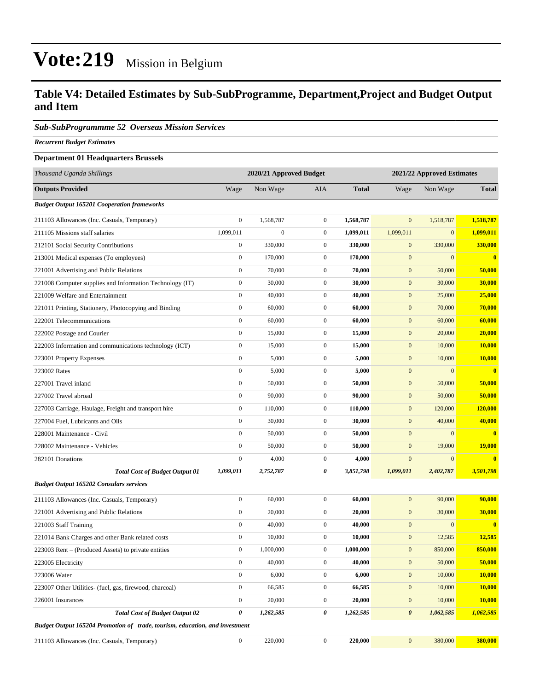### **Table V4: Detailed Estimates by Sub-SubProgramme, Department,Project and Budget Output and Item**

#### *Sub-SubProgrammme 52 Overseas Mission Services*

*Recurrent Budget Estimates*

#### **Department 01 Headquarters Brussels**

| Thousand Uganda Shillings                                                   | 2020/21 Approved Budget |                  |                  | 2021/22 Approved Estimates |                       |                  |               |
|-----------------------------------------------------------------------------|-------------------------|------------------|------------------|----------------------------|-----------------------|------------------|---------------|
| <b>Outputs Provided</b>                                                     | Wage                    | Non Wage         | AIA              | <b>Total</b>               | Wage                  | Non Wage         | <b>Total</b>  |
| <b>Budget Output 165201 Cooperation frameworks</b>                          |                         |                  |                  |                            |                       |                  |               |
| 211103 Allowances (Inc. Casuals, Temporary)                                 | $\boldsymbol{0}$        | 1,568,787        | $\overline{0}$   | 1,568,787                  | $\mathbf{0}$          | 1,518,787        | 1,518,787     |
| 211105 Missions staff salaries                                              | 1,099,011               | $\boldsymbol{0}$ | $\mathbf{0}$     | 1,099,011                  | 1,099,011             | $\boldsymbol{0}$ | 1,099,011     |
| 212101 Social Security Contributions                                        | $\boldsymbol{0}$        | 330,000          | $\mathbf{0}$     | 330,000                    | $\mathbf{0}$          | 330,000          | 330,000       |
| 213001 Medical expenses (To employees)                                      | $\boldsymbol{0}$        | 170,000          | $\mathbf{0}$     | 170,000                    | $\boldsymbol{0}$      | $\mathbf{0}$     | $\bf{0}$      |
| 221001 Advertising and Public Relations                                     | $\boldsymbol{0}$        | 70,000           | $\mathbf{0}$     | 70,000                     | $\mathbf{0}$          | 50,000           | 50,000        |
| 221008 Computer supplies and Information Technology (IT)                    | $\boldsymbol{0}$        | 30,000           | $\overline{0}$   | 30,000                     | $\mathbf{0}$          | 30,000           | 30,000        |
| 221009 Welfare and Entertainment                                            | $\boldsymbol{0}$        | 40,000           | $\mathbf{0}$     | 40,000                     | $\mathbf{0}$          | 25,000           | 25,000        |
| 221011 Printing, Stationery, Photocopying and Binding                       | $\boldsymbol{0}$        | 60,000           | $\mathbf{0}$     | 60,000                     | $\mathbf{0}$          | 70,000           | 70,000        |
| 222001 Telecommunications                                                   | $\boldsymbol{0}$        | 60,000           | $\overline{0}$   | 60,000                     | $\mathbf{0}$          | 60,000           | 60,000        |
| 222002 Postage and Courier                                                  | $\boldsymbol{0}$        | 15,000           | $\boldsymbol{0}$ | 15,000                     | $\mathbf{0}$          | 20,000           | 20,000        |
| 222003 Information and communications technology (ICT)                      | $\boldsymbol{0}$        | 15,000           | $\mathbf{0}$     | 15,000                     | $\mathbf{0}$          | 10,000           | 10,000        |
| 223001 Property Expenses                                                    | $\boldsymbol{0}$        | 5,000            | $\mathbf{0}$     | 5,000                      | $\mathbf{0}$          | 10,000           | 10,000        |
| 223002 Rates                                                                | $\boldsymbol{0}$        | 5,000            | $\mathbf{0}$     | 5,000                      | $\mathbf{0}$          | $\mathbf{0}$     | $\bf{0}$      |
| 227001 Travel inland                                                        | $\boldsymbol{0}$        | 50,000           | $\boldsymbol{0}$ | 50,000                     | $\mathbf{0}$          | 50,000           | 50,000        |
| 227002 Travel abroad                                                        | $\boldsymbol{0}$        | 90,000           | $\mathbf{0}$     | 90,000                     | $\mathbf{0}$          | 50,000           | 50,000        |
| 227003 Carriage, Haulage, Freight and transport hire                        | $\boldsymbol{0}$        | 110,000          | $\overline{0}$   | 110,000                    | $\mathbf{0}$          | 120,000          | 120,000       |
| 227004 Fuel, Lubricants and Oils                                            | $\mathbf{0}$            | 30,000           | $\mathbf{0}$     | 30,000                     | $\mathbf{0}$          | 40,000           | 40,000        |
| 228001 Maintenance - Civil                                                  | $\boldsymbol{0}$        | 50,000           | $\mathbf{0}$     | 50,000                     | $\mathbf{0}$          | $\mathbf{0}$     | $\bf{0}$      |
| 228002 Maintenance - Vehicles                                               | $\boldsymbol{0}$        | 50,000           | $\boldsymbol{0}$ | 50,000                     | $\mathbf{0}$          | 19,000           | 19,000        |
| 282101 Donations                                                            | $\boldsymbol{0}$        | 4,000            | $\boldsymbol{0}$ | 4,000                      | $\boldsymbol{0}$      | $\mathbf{0}$     | $\bf{0}$      |
| <b>Total Cost of Budget Output 01</b>                                       | 1,099,011               | 2,752,787        | 0                | 3,851,798                  | 1,099,011             | 2,402,787        | 3,501,798     |
| <b>Budget Output 165202 Consulars services</b>                              |                         |                  |                  |                            |                       |                  |               |
| 211103 Allowances (Inc. Casuals, Temporary)                                 | $\boldsymbol{0}$        | 60,000           | $\boldsymbol{0}$ | 60,000                     | $\mathbf{0}$          | 90,000           | 90,000        |
| 221001 Advertising and Public Relations                                     | $\boldsymbol{0}$        | 20,000           | $\mathbf{0}$     | 20,000                     | $\mathbf{0}$          | 30,000           | 30,000        |
| 221003 Staff Training                                                       | $\boldsymbol{0}$        | 40,000           | $\overline{0}$   | 40,000                     | $\boldsymbol{0}$      | $\boldsymbol{0}$ | $\bf{0}$      |
| 221014 Bank Charges and other Bank related costs                            | $\boldsymbol{0}$        | 10,000           | $\mathbf{0}$     | 10,000                     | $\mathbf{0}$          | 12,585           | 12,585        |
| 223003 Rent – (Produced Assets) to private entities                         | $\boldsymbol{0}$        | 1,000,000        | $\mathbf{0}$     | 1,000,000                  | $\mathbf{0}$          | 850,000          | 850,000       |
| 223005 Electricity                                                          | $\boldsymbol{0}$        | 40,000           | $\boldsymbol{0}$ | 40,000                     | $\mathbf{0}$          | 50,000           | 50,000        |
| 223006 Water                                                                | $\boldsymbol{0}$        | 6,000            | $\mathbf{0}$     | 6,000                      | $\mathbf{0}$          | 10,000           | 10,000        |
| 223007 Other Utilities- (fuel, gas, firewood, charcoal)                     | $\boldsymbol{0}$        | 66,585           | $\boldsymbol{0}$ | 66,585                     | $\boldsymbol{0}$      | 10,000           | <b>10,000</b> |
| 226001 Insurances                                                           | $\boldsymbol{0}$        | 20,000           | $\boldsymbol{0}$ | 20,000                     | $\boldsymbol{0}$      | 10,000           | <b>10,000</b> |
| <b>Total Cost of Budget Output 02</b>                                       | $\pmb{\theta}$          | 1,262,585        | 0                | 1,262,585                  | $\boldsymbol{\theta}$ | 1,062,585        | 1,062,585     |
| Budget Output 165204 Promotion of trade, tourism, education, and investment |                         |                  |                  |                            |                       |                  |               |
| 211103 Allowances (Inc. Casuals, Temporary)                                 | $\boldsymbol{0}$        | 220,000          | $\boldsymbol{0}$ | 220,000                    | $\boldsymbol{0}$      | 380,000          | 380,000       |